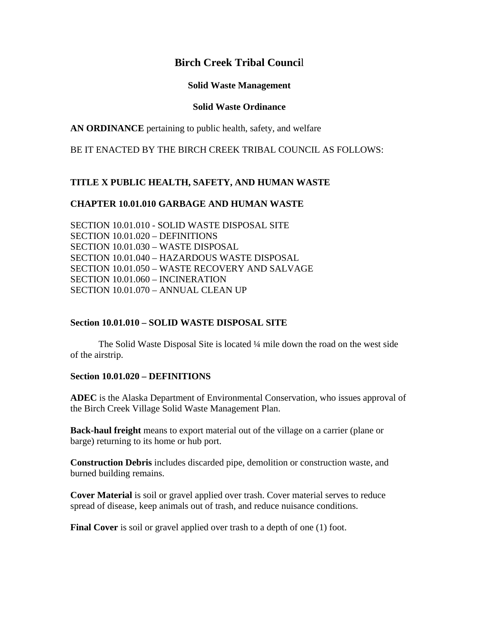# **Birch Creek Tribal Counci**l

#### **Solid Waste Management**

#### **Solid Waste Ordinance**

**AN ORDINANCE** pertaining to public health, safety, and welfare

BE IT ENACTED BY THE BIRCH CREEK TRIBAL COUNCIL AS FOLLOWS:

## **TITLE X PUBLIC HEALTH, SAFETY, AND HUMAN WASTE**

### **CHAPTER 10.01.010 GARBAGE AND HUMAN WASTE**

SECTION 10.01.010 - SOLID WASTE DISPOSAL SITE SECTION 10.01.020 – DEFINITIONS SECTION 10.01.030 – WASTE DISPOSAL SECTION 10.01.040 – HAZARDOUS WASTE DISPOSAL SECTION 10.01.050 – WASTE RECOVERY AND SALVAGE SECTION 10.01.060 – INCINERATION SECTION 10.01.070 – ANNUAL CLEAN UP

#### **Section 10.01.010 – SOLID WASTE DISPOSAL SITE**

 The Solid Waste Disposal Site is located ¼ mile down the road on the west side of the airstrip.

#### **Section 10.01.020 – DEFINITIONS**

**ADEC** is the Alaska Department of Environmental Conservation, who issues approval of the Birch Creek Village Solid Waste Management Plan.

**Back-haul freight** means to export material out of the village on a carrier (plane or barge) returning to its home or hub port.

**Construction Debris** includes discarded pipe, demolition or construction waste, and burned building remains.

**Cover Material** is soil or gravel applied over trash. Cover material serves to reduce spread of disease, keep animals out of trash, and reduce nuisance conditions.

**Final Cover** is soil or gravel applied over trash to a depth of one (1) foot.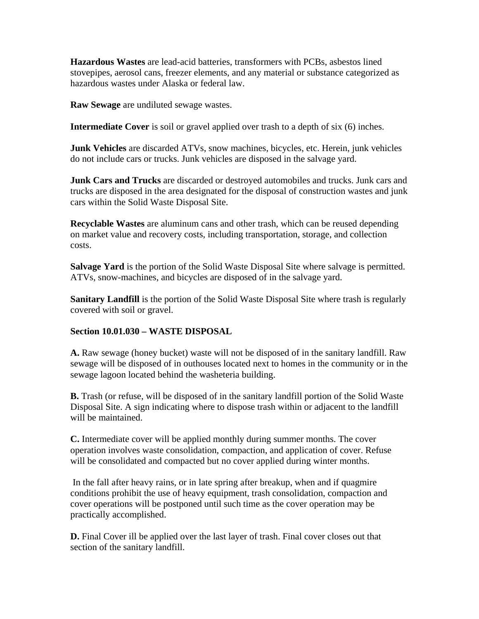**Hazardous Wastes** are lead-acid batteries, transformers with PCBs, asbestos lined stovepipes, aerosol cans, freezer elements, and any material or substance categorized as hazardous wastes under Alaska or federal law.

**Raw Sewage** are undiluted sewage wastes.

**Intermediate Cover** is soil or gravel applied over trash to a depth of six (6) inches.

**Junk Vehicles** are discarded ATVs, snow machines, bicycles, etc. Herein, junk vehicles do not include cars or trucks. Junk vehicles are disposed in the salvage yard.

**Junk Cars and Trucks** are discarded or destroyed automobiles and trucks. Junk cars and trucks are disposed in the area designated for the disposal of construction wastes and junk cars within the Solid Waste Disposal Site.

**Recyclable Wastes** are aluminum cans and other trash, which can be reused depending on market value and recovery costs, including transportation, storage, and collection costs.

**Salvage Yard** is the portion of the Solid Waste Disposal Site where salvage is permitted. ATVs, snow-machines, and bicycles are disposed of in the salvage yard.

**Sanitary Landfill** is the portion of the Solid Waste Disposal Site where trash is regularly covered with soil or gravel.

## **Section 10.01.030 – WASTE DISPOSAL**

**A.** Raw sewage (honey bucket) waste will not be disposed of in the sanitary landfill. Raw sewage will be disposed of in outhouses located next to homes in the community or in the sewage lagoon located behind the washeteria building.

**B.** Trash (or refuse, will be disposed of in the sanitary landfill portion of the Solid Waste Disposal Site. A sign indicating where to dispose trash within or adjacent to the landfill will be maintained.

**C.** Intermediate cover will be applied monthly during summer months. The cover operation involves waste consolidation, compaction, and application of cover. Refuse will be consolidated and compacted but no cover applied during winter months.

 In the fall after heavy rains, or in late spring after breakup, when and if quagmire conditions prohibit the use of heavy equipment, trash consolidation, compaction and cover operations will be postponed until such time as the cover operation may be practically accomplished.

**D.** Final Cover ill be applied over the last layer of trash. Final cover closes out that section of the sanitary landfill.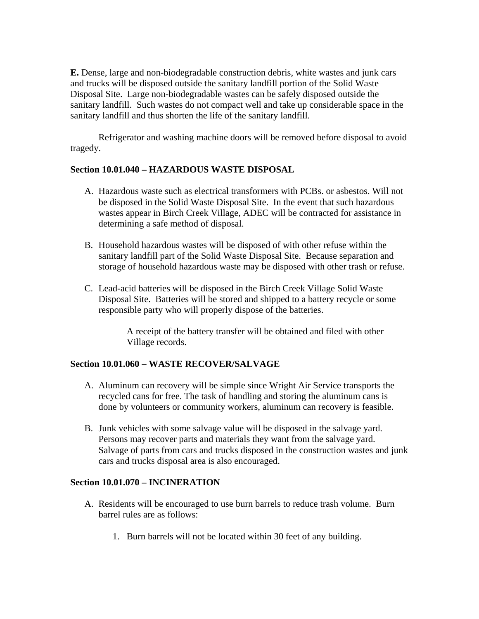**E.** Dense, large and non-biodegradable construction debris, white wastes and junk cars and trucks will be disposed outside the sanitary landfill portion of the Solid Waste Disposal Site. Large non-biodegradable wastes can be safely disposed outside the sanitary landfill. Such wastes do not compact well and take up considerable space in the sanitary landfill and thus shorten the life of the sanitary landfill.

 Refrigerator and washing machine doors will be removed before disposal to avoid tragedy.

## **Section 10.01.040 – HAZARDOUS WASTE DISPOSAL**

- A. Hazardous waste such as electrical transformers with PCBs. or asbestos. Will not be disposed in the Solid Waste Disposal Site. In the event that such hazardous wastes appear in Birch Creek Village, ADEC will be contracted for assistance in determining a safe method of disposal.
- B. Household hazardous wastes will be disposed of with other refuse within the sanitary landfill part of the Solid Waste Disposal Site. Because separation and storage of household hazardous waste may be disposed with other trash or refuse.
- C. Lead-acid batteries will be disposed in the Birch Creek Village Solid Waste Disposal Site. Batteries will be stored and shipped to a battery recycle or some responsible party who will properly dispose of the batteries.

A receipt of the battery transfer will be obtained and filed with other Village records.

## **Section 10.01.060 – WASTE RECOVER/SALVAGE**

- A. Aluminum can recovery will be simple since Wright Air Service transports the recycled cans for free. The task of handling and storing the aluminum cans is done by volunteers or community workers, aluminum can recovery is feasible.
- B. Junk vehicles with some salvage value will be disposed in the salvage yard. Persons may recover parts and materials they want from the salvage yard. Salvage of parts from cars and trucks disposed in the construction wastes and junk cars and trucks disposal area is also encouraged.

## **Section 10.01.070 – INCINERATION**

- A. Residents will be encouraged to use burn barrels to reduce trash volume. Burn barrel rules are as follows:
	- 1. Burn barrels will not be located within 30 feet of any building.